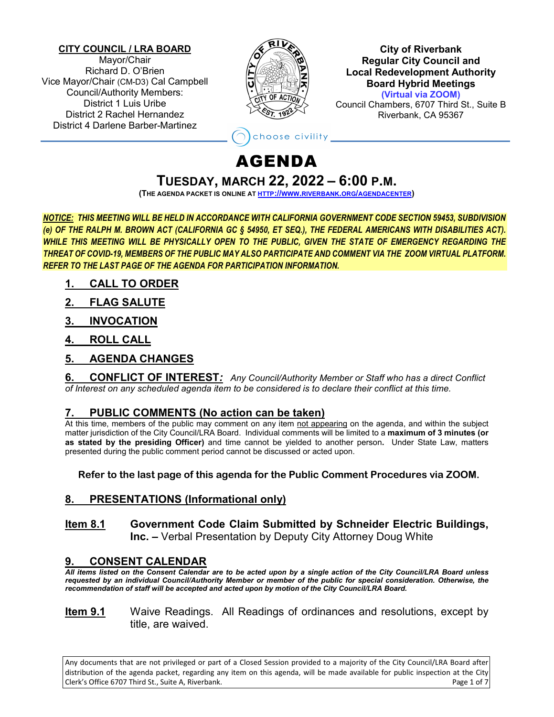#### **CITY COUNCIL / LRA BOARD**

Mayor/Chair Richard D. O'Brien Vice Mayor/Chair (CM-D3) Cal Campbell Council/Authority Members: District 1 Luis Uribe District 2 Rachel Hernandez District 4 Darlene Barber-Martinez



**City of Riverbank Regular City Council and Local Redevelopment Authority Board Hybrid Meetings (Virtual via ZOOM)**

Council Chambers, 6707 Third St., Suite B Riverbank, CA 95367

# hoose civility \_

# AGENDA

**TUESDAY, MARCH 22, <sup>2022</sup> – 6:00 P.M. (THE AGENDA PACKET IS ONLINE AT HTTP://WWW.RIVERBANK.ORG/AGENDACENTER)** 

*NOTICE: THIS MEETING WILL BE HELD IN ACCORDANCE WITH CALIFORNIA GOVERNMENT CODE SECTION 59453, SUBDIVISION (e) OF THE RALPH M. BROWN ACT (CALIFORNIA GC § 54950, ET SEQ.), THE FEDERAL AMERICANS WITH DISABILITIES ACT). WHILE THIS MEETING WILL BE PHYSICALLY OPEN TO THE PUBLIC, GIVEN THE STATE OF EMERGENCY REGARDING THE THREAT OF COVID-19, MEMBERS OF THE PUBLIC MAY ALSO PARTICIPATE AND COMMENT VIA THE ZOOM VIRTUAL PLATFORM. REFER TO THE LAST PAGE OF THE AGENDA FOR PARTICIPATION INFORMATION.*

- **1. CALL TO ORDER**
- **2. FLAG SALUTE**
- **3. INVOCATION**
- **4. ROLL CALL**
- **5. AGENDA CHANGES**

**6. CONFLICT OF INTEREST***: Any Council/Authority Member or Staff who has a direct Conflict of Interest on any scheduled agenda item to be considered is to declare their conflict at this time.*

# **7. PUBLIC COMMENTS (No action can be taken)**

At this time, members of the public may comment on any item not appearing on the agenda, and within the subject matter jurisdiction of the City Council/LRA Board. Individual comments will be limited to a **maximum of 3 minutes (or as stated by the presiding Officer)** and time cannot be yielded to another person**.** Under State Law, matters presented during the public comment period cannot be discussed or acted upon.

**Refer to the last page of this agenda for the Public Comment Procedures via ZOOM.** 

# **8. PRESENTATIONS (Informational only)**

#### **Item 8.1 Government Code Claim Submitted by Schneider Electric Buildings, Inc. –** Verbal Presentation by Deputy City Attorney Doug White

# **9. CONSENT CALENDAR**

*All items listed on the Consent Calendar are to be acted upon by a single action of the City Council/LRA Board unless requested by an individual Council/Authority Member or member of the public for special consideration. Otherwise, the recommendation of staff will be accepted and acted upon by motion of the City Council/LRA Board.* 

**Item 9.1** Waive Readings. All Readings of ordinances and resolutions, except by title, are waived.

Any documents that are not privileged or part of a Closed Session provided to a majority of the City Council/LRA Board after distribution of the agenda packet, regarding any item on this agenda, will be made available for public inspection at the City Clerk's Office 6707 Third St., Suite A, Riverbank. Page 1 of 7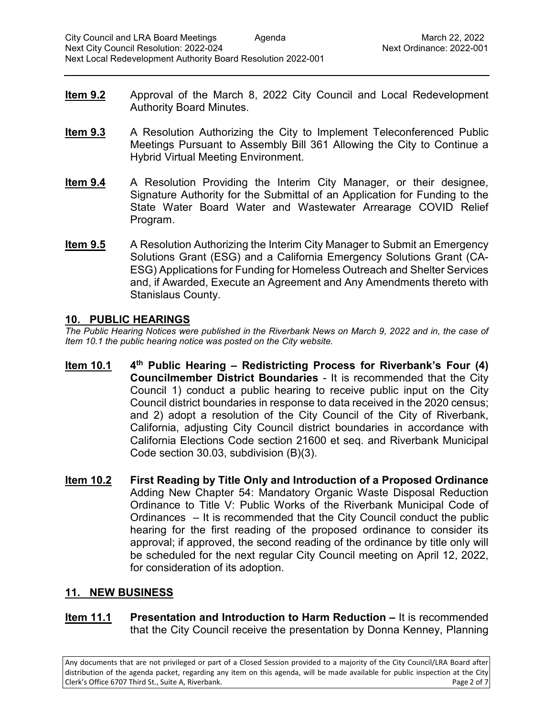- **Item 9.2** Approval of the March 8, 2022 City Council and Local Redevelopment Authority Board Minutes.
- **Item 9.3** A Resolution Authorizing the City to Implement Teleconferenced Public Meetings Pursuant to Assembly Bill 361 Allowing the City to Continue a Hybrid Virtual Meeting Environment.
- **Item 9.4** A Resolution Providing the Interim City Manager, or their designee, Signature Authority for the Submittal of an Application for Funding to the State Water Board Water and Wastewater Arrearage COVID Relief Program.
- **Item 9.5** A Resolution Authorizing the Interim City Manager to Submit an Emergency Solutions Grant (ESG) and a California Emergency Solutions Grant (CA-ESG) Applications for Funding for Homeless Outreach and Shelter Services and, if Awarded, Execute an Agreement and Any Amendments thereto with Stanislaus County.

# **10. PUBLIC HEARINGS**

*The Public Hearing Notices were published in the Riverbank News on March 9, 2022 and in, the case of Item 10.1 the public hearing notice was posted on the City website.*

- **Item 10.1 4th Public Hearing – Redistricting Process for Riverbank's Four (4) Councilmember District Boundaries** - It is recommended that the City Council 1) conduct a public hearing to receive public input on the City Council district boundaries in response to data received in the 2020 census; and 2) adopt a resolution of the City Council of the City of Riverbank, California, adjusting City Council district boundaries in accordance with California Elections Code section 21600 et seq. and Riverbank Municipal Code section 30.03, subdivision (B)(3).
- **Item 10.2 First Reading by Title Only and Introduction of a Proposed Ordinance**  Adding New Chapter 54: Mandatory Organic Waste Disposal Reduction Ordinance to Title V: Public Works of the Riverbank Municipal Code of Ordinances – It is recommended that the City Council conduct the public hearing for the first reading of the proposed ordinance to consider its approval; if approved, the second reading of the ordinance by title only will be scheduled for the next regular City Council meeting on April 12, 2022, for consideration of its adoption.

# **11. NEW BUSINESS**

**Item 11.1 Presentation and Introduction to Harm Reduction –** It is recommended that the City Council receive the presentation by Donna Kenney, Planning

Any documents that are not privileged or part of a Closed Session provided to a majority of the City Council/LRA Board after distribution of the agenda packet, regarding any item on this agenda, will be made available for public inspection at the City Clerk's Office 6707 Third St., Suite A, Riverbank. Page 2 of 7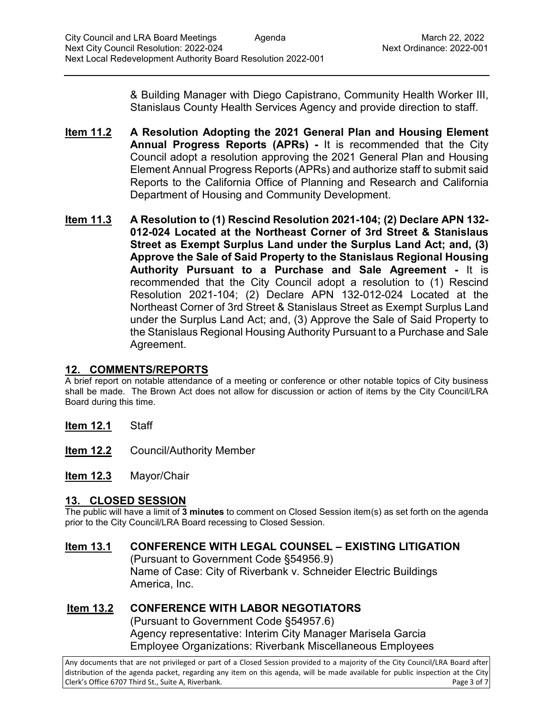& Building Manager with Diego Capistrano, Community Health Worker III, Stanislaus County Health Services Agency and provide direction to staff.

- **Item 11.2 A Resolution Adopting the 2021 General Plan and Housing Element Annual Progress Reports (APRs) -** It is recommended that the City Council adopt a resolution approving the 2021 General Plan and Housing Element Annual Progress Reports (APRs) and authorize staff to submit said Reports to the California Office of Planning and Research and California Department of Housing and Community Development.
- **Item 11.3 A Resolution to (1) Rescind Resolution 2021-104; (2) Declare APN 132- 012-024 Located at the Northeast Corner of 3rd Street & Stanislaus Street as Exempt Surplus Land under the Surplus Land Act; and, (3) Approve the Sale of Said Property to the Stanislaus Regional Housing Authority Pursuant to a Purchase and Sale Agreement -** It is recommended that the City Council adopt a resolution to (1) Rescind Resolution 2021-104; (2) Declare APN 132-012-024 Located at the Northeast Corner of 3rd Street & Stanislaus Street as Exempt Surplus Land under the Surplus Land Act; and, (3) Approve the Sale of Said Property to the Stanislaus Regional Housing Authority Pursuant to a Purchase and Sale Agreement.

# **12. COMMENTS/REPORTS**

A brief report on notable attendance of a meeting or conference or other notable topics of City business shall be made. The Brown Act does not allow for discussion or action of items by the City Council/LRA Board during this time.

- **Item 12.1** Staff
- **Item 12.2** Council/Authority Member
- **Item 12.3** Mayor/Chair

# **13. CLOSED SESSION**

The public will have a limit of **3 minutes** to comment on Closed Session item(s) as set forth on the agenda prior to the City Council/LRA Board recessing to Closed Session.

**Item 13.1 CONFERENCE WITH LEGAL COUNSEL – EXISTING LITIGATION** (Pursuant to Government Code §54956.9) Name of Case: City of Riverbank v. Schneider Electric Buildings America, Inc.

# **Item 13.2 CONFERENCE WITH LABOR NEGOTIATORS** (Pursuant to Government Code §54957.6)

Agency representative: Interim City Manager Marisela Garcia Employee Organizations: Riverbank Miscellaneous Employees

Any documents that are not privileged or part of a Closed Session provided to a majority of the City Council/LRA Board after distribution of the agenda packet, regarding any item on this agenda, will be made available for public inspection at the City Clerk's Office 6707 Third St., Suite A, Riverbank. Page 3 of 7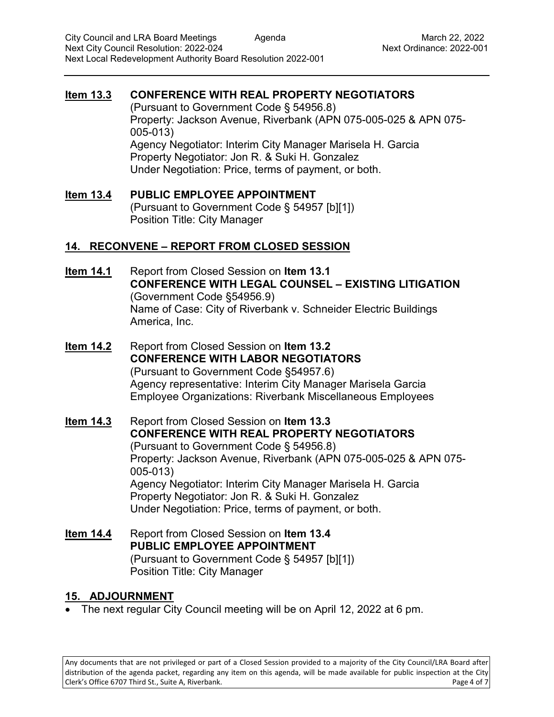### **Item 13.3 CONFERENCE WITH REAL PROPERTY NEGOTIATORS**

(Pursuant to Government Code § 54956.8) Property: Jackson Avenue, Riverbank (APN 075-005-025 & APN 075- 005-013) Agency Negotiator: Interim City Manager Marisela H. Garcia Property Negotiator: Jon R. & Suki H. Gonzalez Under Negotiation: Price, terms of payment, or both.

**Item 13.4 PUBLIC EMPLOYEE APPOINTMENT** (Pursuant to Government Code § 54957 [b][1]) Position Title: City Manager

#### **14. RECONVENE – REPORT FROM CLOSED SESSION**

- **Item 14.1** Report from Closed Session on **Item 13.1 CONFERENCE WITH LEGAL COUNSEL – EXISTING LITIGATION** (Government Code §54956.9) Name of Case: City of Riverbank v. Schneider Electric Buildings America, Inc.
- **Item 14.2** Report from Closed Session on **Item 13.2 CONFERENCE WITH LABOR NEGOTIATORS** (Pursuant to Government Code §54957.6) Agency representative: Interim City Manager Marisela Garcia Employee Organizations: Riverbank Miscellaneous Employees

**Item 14.3** Report from Closed Session on **Item 13.3 CONFERENCE WITH REAL PROPERTY NEGOTIATORS** (Pursuant to Government Code § 54956.8) Property: Jackson Avenue, Riverbank (APN 075-005-025 & APN 075- 005-013) Agency Negotiator: Interim City Manager Marisela H. Garcia Property Negotiator: Jon R. & Suki H. Gonzalez Under Negotiation: Price, terms of payment, or both.

**Item 14.4** Report from Closed Session on **Item 13.4 PUBLIC EMPLOYEE APPOINTMENT** (Pursuant to Government Code § 54957 [b][1]) Position Title: City Manager

#### **15. ADJOURNMENT**

• The next regular City Council meeting will be on April 12, 2022 at 6 pm.

Any documents that are not privileged or part of a Closed Session provided to a majority of the City Council/LRA Board after distribution of the agenda packet, regarding any item on this agenda, will be made available for public inspection at the City Clerk's Office 6707 Third St., Suite A, Riverbank. Page 4 of 7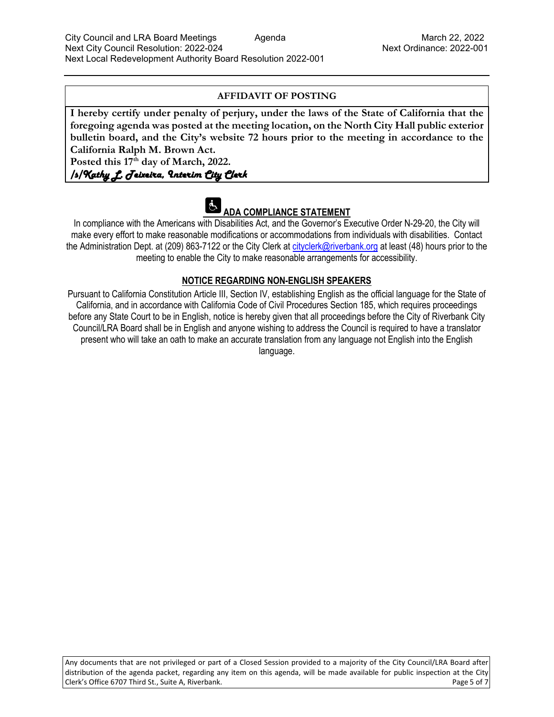#### **AFFIDAVIT OF POSTING**

**I hereby certify under penalty of perjury, under the laws of the State of California that the foregoing agenda was posted at the meeting location, on the North City Hall public exterior bulletin board, and the City's website 72 hours prior to the meeting in accordance to the California Ralph M. Brown Act.** 

Posted this  $17<sup>th</sup>$  day of March, 2022.

/s/Kathy L. Teixeira, Interim City Clerk

#### $\mathbf{G}$ **ADA COMPLIANCE STATEMENT**

In compliance with the Americans with Disabilities Act, and the Governor's Executive Order N-29-20, the City will make every effort to make reasonable modifications or accommodations from individuals with disabilities. Contact the Administration Dept. at (209) 863-7122 or the City Clerk at cityclerk@riverbank.org at least (48) hours prior to the meeting to enable the City to make reasonable arrangements for accessibility.

#### **NOTICE REGARDING NON-ENGLISH SPEAKERS**

Pursuant to California Constitution Article III, Section IV, establishing English as the official language for the State of California, and in accordance with California Code of Civil Procedures Section 185, which requires proceedings before any State Court to be in English, notice is hereby given that all proceedings before the City of Riverbank City Council/LRA Board shall be in English and anyone wishing to address the Council is required to have a translator present who will take an oath to make an accurate translation from any language not English into the English language.

Any documents that are not privileged or part of a Closed Session provided to a majority of the City Council/LRA Board after distribution of the agenda packet, regarding any item on this agenda, will be made available for public inspection at the City Clerk's Office 6707 Third St., Suite A, Riverbank. Page 5 of 7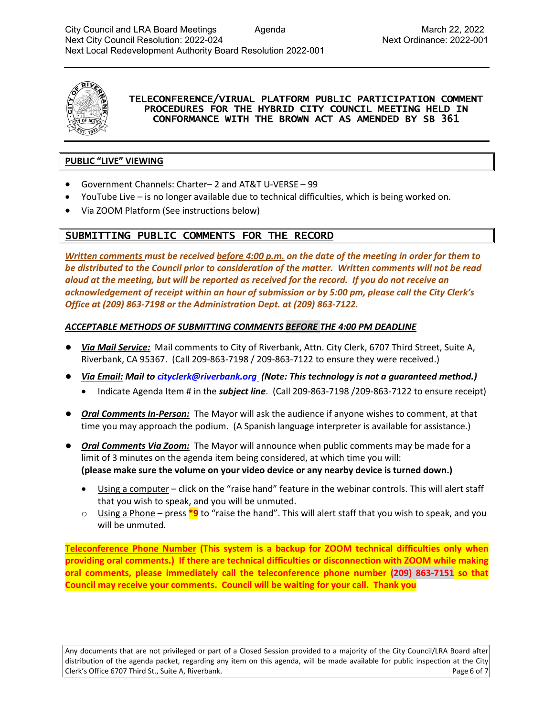

#### TELECONFERENCE/VIRUAL PLATFORM PUBLIC PARTICIPATION COMMENT PROCEDURES FOR THE HYBRID CITY COUNCIL MEETING HELD IN CONFORMANCE WITH THE BROWN ACT AS AMENDED BY SB 361

#### **PUBLIC "LIVE" VIEWING**

- Government Channels: Charter– 2 and AT&T U-VERSE 99
- YouTube Live is no longer available due to technical difficulties, which is being worked on.
- Via ZOOM Platform (See instructions below)

# SUBMITTING PUBLIC COMMENTS FOR THE RECORD

*Written comments must be received before 4:00 p.m. on the date of the meeting in order for them to be distributed to the Council prior to consideration of the matter. Written comments will not be read aloud at the meeting, but will be reported as received for the record. If you do not receive an acknowledgement of receipt within an hour of submission or by 5:00 pm, please call the City Clerk's Office at (209) 863-7198 or the Administration Dept. at (209) 863-7122.* 

#### *ACCEPTABLE METHODS OF SUBMITTING COMMENTS BEFORE THE 4:00 PM DEADLINE*

- *Via Mail Service:* Mail comments to City of Riverbank, Attn. City Clerk, 6707 Third Street, Suite A, Riverbank, CA 95367. (Call 209-863-7198 / 209-863-7122 to ensure they were received.)
- *Via Email: Mail to cityclerk@riverbank.org (Note: This technology is not a guaranteed method.)* 
	- Indicate Agenda Item # in the *subject line*. (Call 209-863-7198 /209-863-7122 to ensure receipt)
- *Oral Comments In-Person:* The Mayor will ask the audience if anyone wishes to comment, at that time you may approach the podium. (A Spanish language interpreter is available for assistance.)
- *Oral Comments Via Zoom:*The Mayor will announce when public comments may be made for a limit of 3 minutes on the agenda item being considered, at which time you will: **(please make sure the volume on your video device or any nearby device is turned down.)**
	- Using a computer click on the "raise hand" feature in the webinar controls. This will alert staff that you wish to speak, and you will be unmuted.
	- o Using a Phone press **\*9** to "raise the hand". This will alert staff that you wish to speak, and you will be unmuted.

**Teleconference Phone Number (This system is a backup for ZOOM technical difficulties only when providing oral comments.) If there are technical difficulties or disconnection with ZOOM while making oral comments, please immediately call the teleconference phone number (209) 863-7151 so that Council may receive your comments. Council will be waiting for your call. Thank you**

Any documents that are not privileged or part of a Closed Session provided to a majority of the City Council/LRA Board after distribution of the agenda packet, regarding any item on this agenda, will be made available for public inspection at the City Clerk's Office 6707 Third St., Suite A, Riverbank. Page 6 of 7